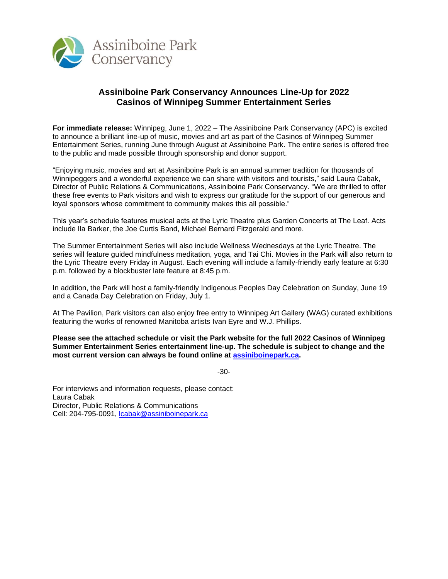

# **Assiniboine Park Conservancy Announces Line-Up for 2022 Casinos of Winnipeg Summer Entertainment Series**

**For immediate release:** Winnipeg, June 1, 2022 – The Assiniboine Park Conservancy (APC) is excited to announce a brilliant line-up of music, movies and art as part of the Casinos of Winnipeg Summer Entertainment Series, running June through August at Assiniboine Park. The entire series is offered free to the public and made possible through sponsorship and donor support.

"Enjoying music, movies and art at Assiniboine Park is an annual summer tradition for thousands of Winnipeggers and a wonderful experience we can share with visitors and tourists," said Laura Cabak, Director of Public Relations & Communications, Assiniboine Park Conservancy. "We are thrilled to offer these free events to Park visitors and wish to express our gratitude for the support of our generous and loyal sponsors whose commitment to community makes this all possible."

This year's schedule features musical acts at the Lyric Theatre plus Garden Concerts at The Leaf. Acts include Ila Barker, the Joe Curtis Band, Michael Bernard Fitzgerald and more.

The Summer Entertainment Series will also include Wellness Wednesdays at the Lyric Theatre. The series will feature guided mindfulness meditation, yoga, and Tai Chi. Movies in the Park will also return to the Lyric Theatre every Friday in August. Each evening will include a family-friendly early feature at 6:30 p.m. followed by a blockbuster late feature at 8:45 p.m.

In addition, the Park will host a family-friendly Indigenous Peoples Day Celebration on Sunday, June 19 and a Canada Day Celebration on Friday, July 1.

At The Pavilion, Park visitors can also enjoy free entry to Winnipeg Art Gallery (WAG) curated exhibitions featuring the works of renowned Manitoba artists Ivan Eyre and W.J. Phillips.

**Please see the attached schedule or visit the Park website for the full 2022 Casinos of Winnipeg Summer Entertainment Series entertainment line-up. The schedule is subject to change and the most current version can always be found online at [assiniboinepark.ca.](https://www.assiniboinepark.ca/events/summer-entertainment-series)**

-30-

For interviews and information requests, please contact: Laura Cabak Director, Public Relations & Communications Cell: 204-795-0091, [lcabak@assiniboinepark.ca](mailto:lcabak@assiniboinepark.ca)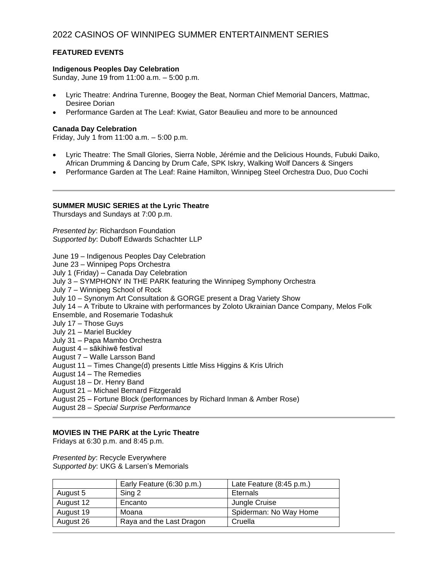## **FEATURED EVENTS**

### **Indigenous Peoples Day Celebration**

Sunday, June 19 from 11:00 a.m. – 5:00 p.m.

- Lyric Theatre: Andrina Turenne, Boogey the Beat, Norman Chief Memorial Dancers, Mattmac, Desiree Dorian
- Performance Garden at The Leaf: Kwiat, Gator Beaulieu and more to be announced

### **Canada Day Celebration**

Friday, July 1 from 11:00 a.m. – 5:00 p.m.

- Lyric Theatre: The Small Glories, Sierra Noble, Jérémie and the Delicious Hounds, Fubuki Daiko, African Drumming & Dancing by Drum Cafe, SPK Iskry, Walking Wolf Dancers & Singers
- Performance Garden at The Leaf: Raine Hamilton, Winnipeg Steel Orchestra Duo, Duo Cochi

### **SUMMER MUSIC SERIES at the Lyric Theatre**

Thursdays and Sundays at 7:00 p.m.

*Presented by*: Richardson Foundation *Supported by*: Duboff Edwards Schachter LLP

June 19 – Indigenous Peoples Day Celebration June 23 – Winnipeg Pops Orchestra July 1 (Friday) – Canada Day Celebration July 3 – SYMPHONY IN THE PARK featuring the Winnipeg Symphony Orchestra July 7 – Winnipeg School of Rock July 10 – Synonym Art Consultation & GORGE present a Drag Variety Show July 14 – A Tribute to Ukraine with performances by Zoloto Ukrainian Dance Company, Melos Folk Ensemble, and Rosemarie Todashuk July 17 – Those Guys July 21 – Mariel Buckley July 31 – Papa Mambo Orchestra August 4 – sākihiwē festival August 7 – Walle Larsson Band August 11 – Times Change(d) presents Little Miss Higgins & Kris Ulrich August 14 – The Remedies August 18 – Dr. Henry Band August 21 – Michael Bernard Fitzgerald August 25 – Fortune Block (performances by Richard Inman & Amber Rose)

August 28 – *Special Surprise Performance*

### **MOVIES IN THE PARK at the Lyric Theatre**

Fridays at 6:30 p.m. and 8:45 p.m.

# *Presented by*: Recycle Everywhere

*Supported by*: UKG & Larsen's Memorials

|           | Early Feature (6:30 p.m.) | Late Feature (8:45 p.m.) |
|-----------|---------------------------|--------------------------|
| August 5  | Sing 2                    | Eternals                 |
| August 12 | Encanto                   | Jungle Cruise            |
| August 19 | Moana                     | Spiderman: No Way Home   |
| August 26 | Raya and the Last Dragon  | Cruella                  |